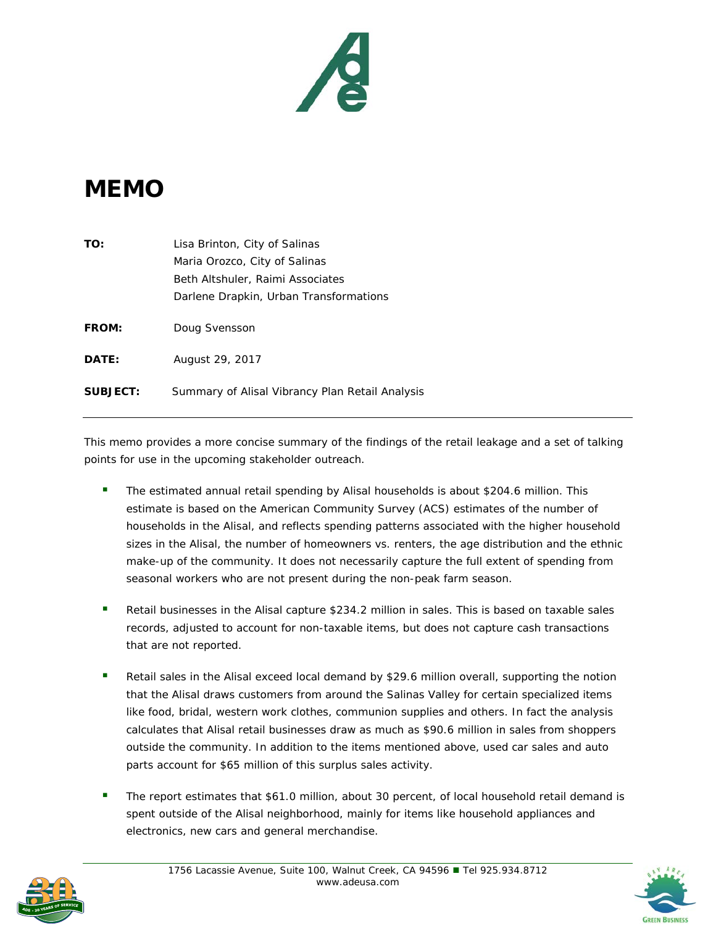

## **MEMO**

| TO:             | Lisa Brinton, City of Salinas                   |
|-----------------|-------------------------------------------------|
|                 | Maria Orozco, City of Salinas                   |
|                 | Beth Altshuler, Raimi Associates                |
|                 | Darlene Drapkin, Urban Transformations          |
| <b>FROM:</b>    | Doug Svensson                                   |
| DATE:           | August 29, 2017                                 |
| <b>SUBJECT:</b> | Summary of Alisal Vibrancy Plan Retail Analysis |

This memo provides a more concise summary of the findings of the retail leakage and a set of talking points for use in the upcoming stakeholder outreach.

- The estimated annual retail spending by Alisal households is about \$204.6 million. This estimate is based on the American Community Survey (ACS) estimates of the number of households in the Alisal, and reflects spending patterns associated with the higher household sizes in the Alisal, the number of homeowners vs. renters, the age distribution and the ethnic make-up of the community. It does not necessarily capture the full extent of spending from seasonal workers who are not present during the non-peak farm season.
- Retail businesses in the Alisal capture \$234.2 million in sales. This is based on taxable sales records, adjusted to account for non-taxable items, but does not capture cash transactions that are not reported.
- Retail sales in the Alisal exceed local demand by \$29.6 million overall, supporting the notion that the Alisal draws customers from around the Salinas Valley for certain specialized items like food, bridal, western work clothes, communion supplies and others. In fact the analysis calculates that Alisal retail businesses draw as much as \$90.6 million in sales from shoppers outside the community. In addition to the items mentioned above, used car sales and auto parts account for \$65 million of this surplus sales activity.
- The report estimates that \$61.0 million, about 30 percent, of local household retail demand is spent outside of the Alisal neighborhood, mainly for items like household appliances and electronics, new cars and general merchandise.